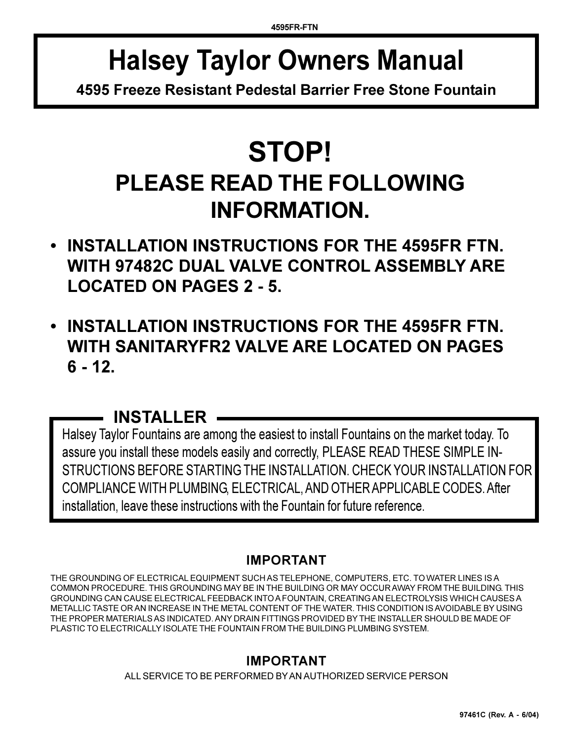# **Halsey Taylor Owners Manual**

**4595 Freeze Resistant Pedestal Barrier Free Stone Fountain**

# **STOP! PLEASE READ THE FOLLOWING INFORMATION.**

- **INSTALLATION INSTRUCTIONS FOR THE 4595FR FTN. WITH 97482C DUAL VALVE CONTROL ASSEMBLY ARE LOCATED ON PAGES 2 - 5.**
- **INSTALLATION INSTRUCTIONS FOR THE 4595FR FTN. WITH SANITARYFR2 VALVE ARE LOCATED ON PAGES 6 - 12.**

# **INSTALLER**

Halsey Taylor Fountains are among the easiest to install Fountains on the market today. To assure you install these models easily and correctly, PLEASE READ THESE SIMPLE IN-STRUCTIONS BEFORE STARTING THE INSTALLATION. CHECK YOUR INSTALLATION FOR COMPLIANCE WITH PLUMBING, ELECTRICAL, AND OTHER APPLICABLE CODES. After installation, leave these instructions with the Fountain for future reference.

## **IMPORTANT**

THE GROUNDING OF ELECTRICAL EQUIPMENT SUCH AS TELEPHONE, COMPUTERS, ETC. TO WATER LINES IS A COMMON PROCEDURE. THIS GROUNDING MAY BE IN THE BUILDING OR MAY OCCUR AWAY FROM THE BUILDING. THIS GROUNDING CAN CAUSE ELECTRICAL FEEDBACK INTO A FOUNTAIN, CREATING AN ELECTROLYSIS WHICH CAUSES A METALLIC TASTE OR AN INCREASE IN THE METAL CONTENT OF THE WATER. THIS CONDITION IS AVOIDABLE BY USING THE PROPER MATERIALS AS INDICATED. ANY DRAIN FITTINGS PROVIDED BY THE INSTALLER SHOULD BE MADE OF PLASTIC TO ELECTRICALLY ISOLATE THE FOUNTAIN FROM THE BUILDING PLUMBING SYSTEM.

## **IMPORTANT**

ALL SERVICE TO BE PERFORMED BY AN AUTHORIZED SERVICE PERSON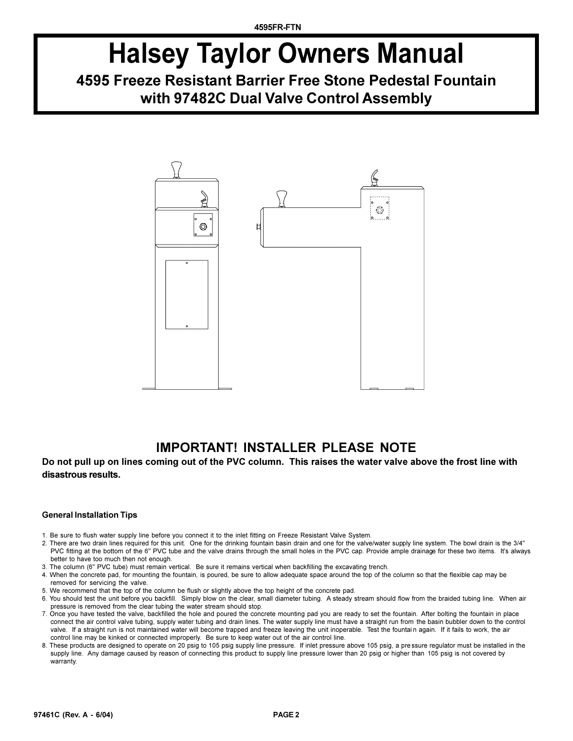# **Halsey Taylor Owners Manual**

# **4595 Freeze Resistant Barrier Free Stone Pedestal Fountain with 97482C Dual Valve Control Assembly**



## **IMPORTANT! INSTALLER PLEASE NOTE**

#### **Do not pull up on lines coming out of the PVC column. This raises the water valve above the frost line with disastrous results.**

#### **General Installation Tips**

- 1. Be sure to flush water supply line before you connect it to the inlet fitting on Freeze Resistant Valve System.
- 2. There are two drain lines required for this unit. One for the drinking fountain basin drain and one for the valve/water supply line system. The bowl drain is the 3/4" PVC fitting at the bottom of the 6" PVC tube and the valve drains through the small holes in the PVC cap. Provide ample drainage for these two items. It's always better to have too much then not enough.
- 3. The column (6" PVC tube) must remain vertical. Be sure it remains vertical when backfilling the excavating trench.
- 4. When the concrete pad, for mounting the fountain, is poured, be sure to allow adequate space around the top of the column so that the flexible cap may be removed for servicing the valve.
- 5. We recommend that the top of the column be flush or slightly above the top height of the concrete pad.
- 6. You should test the unit before you backfill. Simply blow on the clear, small diameter tubing. A steady stream should flow from the braided tubing line. When air pressure is removed from the clear tubing the water stream should stop.
- 7. Once you have tested the valve, backfilled the hole and poured the concrete mounting pad you are ready to set the fountain. After bolting the fountain in place connect the air control valve tubing, supply water tubing and drain lines. The water supply line must have a straight run from the basin bubbler down to the control valve. If a straight run is not maintained water will become trapped and freeze leaving the unit inoperable. Test the fountain again. If it fails to work, the air control line may be kinked or connected improperly. Be sure to keep water out of the air control line.
- 8. These products are designed to operate on 20 psig to 105 psig supply line pressure. If inlet pressure above 105 psig, a pre ssure regulator must be installed in the supply line. Any damage caused by reason of connecting this product to supply line pressure lower than 20 psig or higher than 105 psig is not covered by warranty.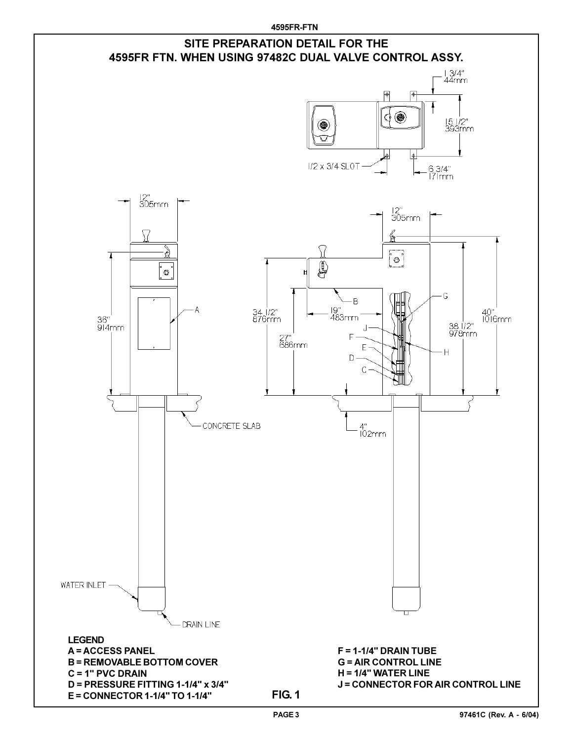**4595FR-FTN**

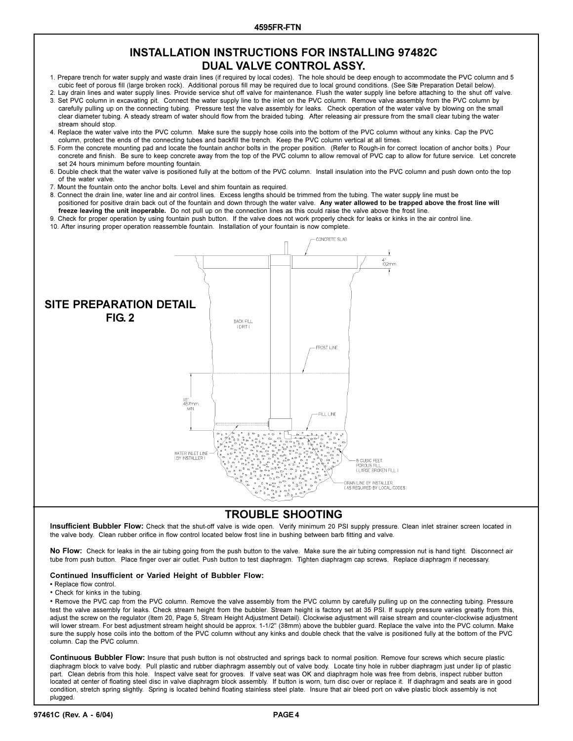## **INSTALLATION INSTRUCTIONS FOR INSTALLING 97482C DUAL VALVE CONTROL ASSY.**

- 1. Prepare trench for water supply and waste drain lines (if required by local codes). The hole should be deep enough to accommodate the PVC column and 5 cubic feet of porous fill (large broken rock). Additional porous fill may be required due to local ground conditions. (See Site Preparation Detail below).
- 2. Lay drain lines and water supply lines. Provide service shut off valve for maintenance. Flush the water supply line before attaching to the shut off valve.
- 3. Set PVC column in excavating pit. Connect the water supply line to the inlet on the PVC column. Remove valve assembly from the PVC column by carefully pulling up on the connecting tubing. Pressure test the valve assembly for leaks. Check operation of the water valve by blowing on the small clear diameter tubing. A steady stream of water should flow from the braided tubing. After releasing air pressure from the small clear tubing the water stream should stop.
- 4. Replace the water valve into the PVC column. Make sure the supply hose coils into the bottom of the PVC column without any kinks. Cap the PVC column, protect the ends of the connecting tubes and backfill the trench. Keep the PVC column vertical at all times.
- 5. Form the concrete mounting pad and locate the fountain anchor bolts in the proper position. (Refer to Rough-in for correct location of anchor bolts.) Pour concrete and finish. Be sure to keep concrete away from the top of the PVC column to allow removal of PVC cap to allow for future service. Let concrete set 24 hours minimum before mounting fountain.
- 6. Double check that the water valve is positioned fully at the bottom of the PVC column. Install insulation into the PVC column and push down onto the top of the water valve.
- 7. Mount the fountain onto the anchor bolts. Level and shim fountain as required.
- 8. Connect the drain line, water line and air control lines. Excess lengths should be trimmed from the tubing. The water supply line must be positioned for positive drain back out of the fountain and down through the water valve. **Any water allowed to be trapped above the frost line will freeze leaving the unit inoperable.** Do not pull up on the connection lines as this could raise the valve above the frost line.
- 9. Check for proper operation by using fountain push button. If the valve does not work properly check for leaks or kinks in the air control line.
- 10. After insuring proper operation reassemble fountain. Installation of your fountain is now complete.



### **TROUBLE SHOOTING**

**Insufficient Bubbler Flow:** Check that the shut-off valve is wide open. Verify minimum 20 PSI supply pressure. Clean inlet strainer screen located in the valve body. Clean rubber orifice in flow control located below frost line in bushing between barb fitting and valve.

**No Flow:** Check for leaks in the air tubing going from the push button to the valve. Make sure the air tubing compression nut is hand tight. Disconnect air tube from push button. Place finger over air outlet. Push button to test diaphragm. Tighten diaphragm cap screws. Replace diaphragm if necessary.

#### **Continued Insufficient or Varied Height of Bubbler Flow:**

• Replace flow control.

#### Check for kinks in the tubing.

. Remove the PVC cap from the PVC column. Remove the valve assembly from the PVC column by carefully pulling up on the connecting tubing. Pressure test the valve assembly for leaks. Check stream height from the bubbler. Stream height is factory set at 35 PSI. If supply pressure varies greatly from this, adjust the screw on the regulator (Item 20, Page 5, Stream Height Adjustment Detail). Clockwise adjustment will raise stream and counter-clockwise adjustment will lower stream. For best adjustment stream height should be approx. 1-1/2" (38mm) above the bubbler guard. Replace the valve into the PVC column. Make sure the supply hose coils into the bottom of the PVC column without any kinks and double check that the valve is positioned fully at the bottom of the PVC column. Cap the PVC column.

**Continuous Bubbler Flow:** Insure that push button is not obstructed and springs back to normal position. Remove four screws which secure plastic diaphragm block to valve body. Pull plastic and rubber diaphragm assembly out of valve body. Locate tiny hole in rubber diaphragm just under lip of plastic part. Clean debris from this hole. Inspect valve seat for grooves. If valve seat was OK and diaphragm hole was free from debris, inspect rubber button located at center of floating steel disc in valve diaphragm block assembly. If button is worn, turn disc over or replace it. If diaphragm and seats are in good condition, stretch spring slightly. Spring is located behind floating stainless steel plate. Insure that air bleed port on valve plastic block assembly is not plugged.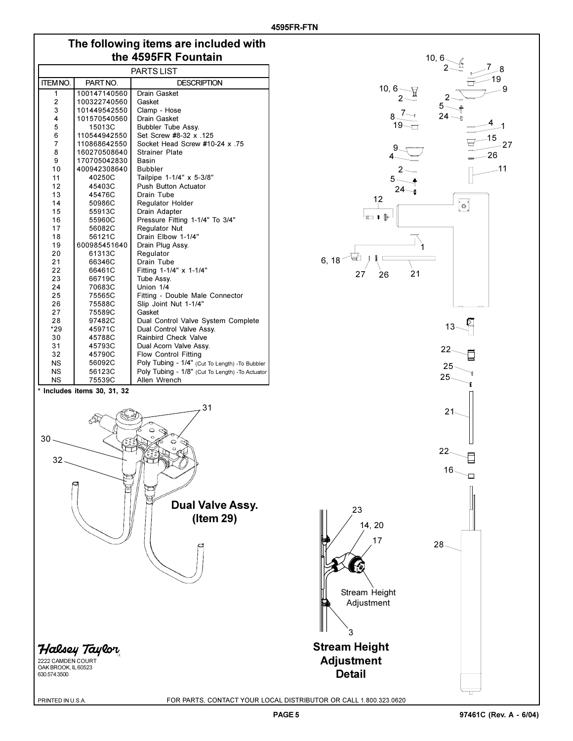## **The following items are included with the 4595FR Fountain**

| PARTS LIST                  |              |                                                 |  |  |
|-----------------------------|--------------|-------------------------------------------------|--|--|
| <b>ITEM NO.</b>             | PART NO.     | <b>DESCRIPTION</b>                              |  |  |
| $\mathbf{1}$                | 100147140560 | Drain Gasket                                    |  |  |
| 2                           | 100322740560 | Gasket                                          |  |  |
| 3                           | 101449542550 | Clamp - Hose                                    |  |  |
| 4                           | 101570540560 | <b>Drain Gasket</b>                             |  |  |
| 5                           | 15013C       | Bubbler Tube Assy.                              |  |  |
| 6                           | 110544942550 | Set Screw #8-32 x .125                          |  |  |
| $\overline{7}$              | 110868642550 | Socket Head Screw #10-24 x .75                  |  |  |
| 8                           | 160270508640 | <b>Strainer Plate</b>                           |  |  |
| 9                           | 170705042830 | <b>Basin</b>                                    |  |  |
| 10                          | 400942308640 | <b>Bubbler</b>                                  |  |  |
| 11                          | 40250C       | Tailpipe 1-1/4" x 5-3/8"                        |  |  |
| 12                          | 45403C       | <b>Push Button Actuator</b>                     |  |  |
| 13                          | 45476C       | Drain Tube                                      |  |  |
| 14                          | 50986C       | <b>Regulator Holder</b>                         |  |  |
| 15                          | 55913C       | Drain Adapter                                   |  |  |
| 16                          | 55960C       | Pressure Fitting 1-1/4" To 3/4"                 |  |  |
| 17                          | 56082C       | Regulator Nut                                   |  |  |
| 18                          | 56121C       | Drain Elbow 1-1/4"                              |  |  |
| 19                          | 600985451640 | Drain Plug Assy.                                |  |  |
| 20                          | 61313C       | Regulator                                       |  |  |
| 21                          | 66346C       | Drain Tube                                      |  |  |
| 22                          | 66461C       | Fitting 1-1/4" x 1-1/4"                         |  |  |
| 23                          | 66719C       | Tube Assy.                                      |  |  |
| 24                          | 70683C       | Union 1/4                                       |  |  |
| 25                          | 75565C       | Fitting - Double Male Connector                 |  |  |
| 26                          | 75588C       | Slip Joint Nut 1-1/4"                           |  |  |
| 27                          | 75589C       | Gasket                                          |  |  |
| 28                          | 97482C       | Dual Control Valve System Complete              |  |  |
| $*29$                       | 45971C       | Dual Control Valve Assy.                        |  |  |
| 30                          | 45788C       | Rainbird Check Valve                            |  |  |
| 31                          | 45793C       | Dual Acorn Valve Assy.                          |  |  |
| 32                          | 45790C       | <b>Flow Control Fitting</b>                     |  |  |
| <b>NS</b>                   | 56092C       | Poly Tubing - 1/4" (Cut To Length) -To Bubbler  |  |  |
| <b>NS</b>                   | 56123C       | Poly Tubing - 1/8" (Cut To Length) -To Actuator |  |  |
| <b>NS</b>                   | 75539C       | Allen Wrench                                    |  |  |
| * Includes items 30, 31, 32 |              |                                                 |  |  |



 $10, 6.$ 



Halsey Taylor

2222 CAMDEN COURT OAK BROOK, IL 60523 630.574.3500

PRINTED IN U.S.A.

FOR PARTS, CONTACT YOUR LOCAL DISTRIBUTOR OR CALL 1.800.323.0620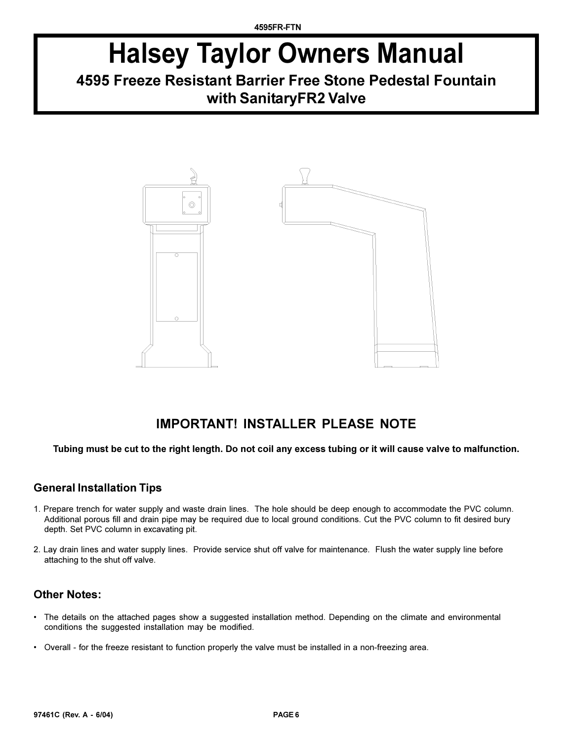# **Halsey Taylor Owners Manual**

# **4595 Freeze Resistant Barrier Free Stone Pedestal Fountain with SanitaryFR2 Valve**



## **IMPORTANT! INSTALLER PLEASE NOTE**

**Tubing must be cut to the right length. Do not coil any excess tubing or it will cause valve to malfunction.**

## **General Installation Tips**

- 1. Prepare trench for water supply and waste drain lines. The hole should be deep enough to accommodate the PVC column. Additional porous fill and drain pipe may be required due to local ground conditions. Cut the PVC column to fit desired bury depth. Set PVC column in excavating pit.
- 2. Lay drain lines and water supply lines. Provide service shut off valve for maintenance. Flush the water supply line before attaching to the shut off valve.

### **Other Notes:**

- The details on the attached pages show a suggested installation method. Depending on the climate and environmental conditions the suggested installation may be modified.
- Overall for the freeze resistant to function properly the valve must be installed in a non-freezing area.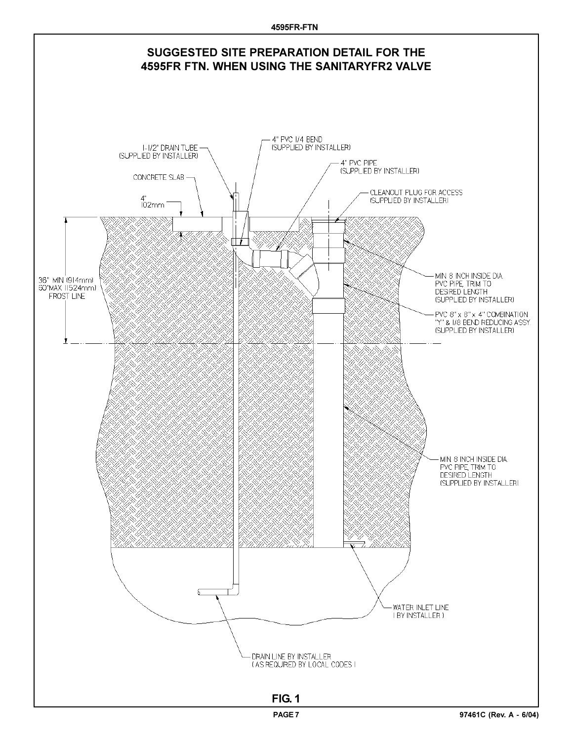**4595FR-FTN**

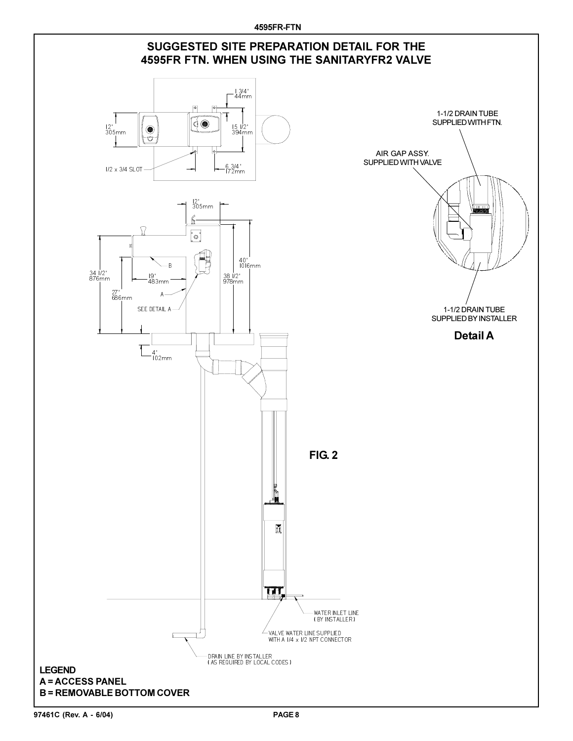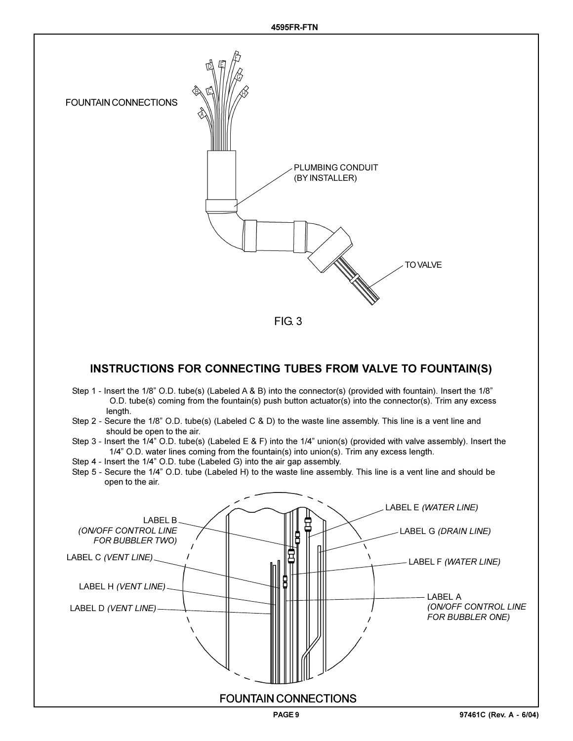

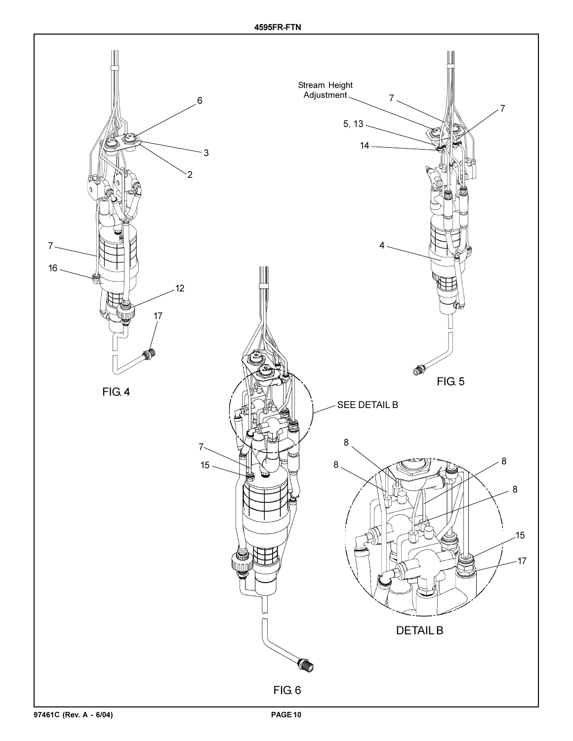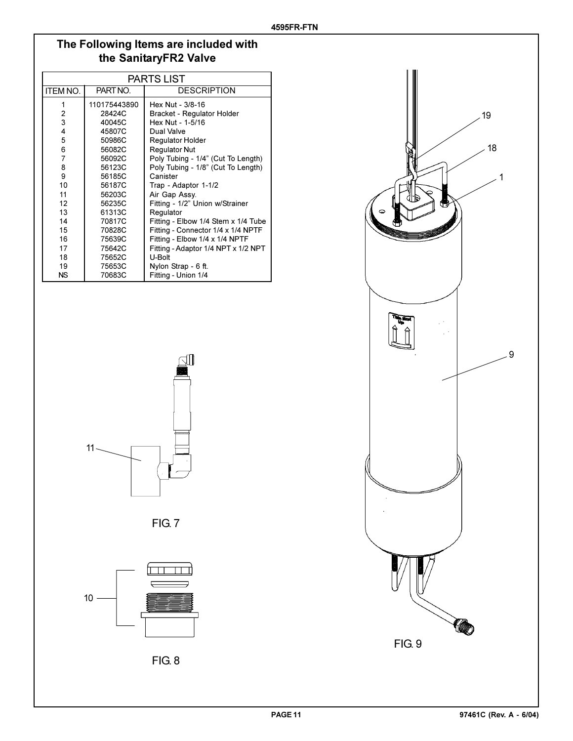## **The Following Items are included with the SanitaryFR2 Valve**

| <b>PARTS LIST</b> |              |                                     |  |
|-------------------|--------------|-------------------------------------|--|
| <b>ITEM NO.</b>   | PART NO.     | <b>DESCRIPTION</b>                  |  |
| 1                 | 110175443890 | Hex Nut - 3/8-16                    |  |
| 2                 | 28424C       | Bracket - Regulator Holder          |  |
| 3                 | 40045C       | Hex Nut - 1-5/16                    |  |
| 4                 | 45807C       | Dual Valve                          |  |
| 5                 | 50986C       | <b>Requlator Holder</b>             |  |
| 6                 | 56082C       | <b>Requlator Nut</b>                |  |
| 7                 | 56092C       | Poly Tubing - 1/4" (Cut To Length)  |  |
| 8                 | 56123C       | Poly Tubing - 1/8" (Cut To Length)  |  |
| 9                 | 56185C       | Canister                            |  |
| 10                | 56187C       | Trap - Adaptor 1-1/2                |  |
| 11                | 56203C       | Air Gap Assy.                       |  |
| 12 <sup>2</sup>   | 56235C       | Fitting - 1/2" Union w/Strainer     |  |
| 13                | 61313C       | Regulator                           |  |
| 14                | 70817C       | Fitting - Elbow 1/4 Stem x 1/4 Tube |  |
| 15                | 70828C       | Fitting - Connector 1/4 x 1/4 NPTF  |  |
| 16                | 75639C       | Fitting - Elbow 1/4 x 1/4 NPTF      |  |
| 17                | 75642C       | Fitting - Adaptor 1/4 NPT x 1/2 NPT |  |
| 18                | 75652C       | U-Bolt                              |  |
| 19                | 75653C       | Nylon Strap - 6 ft.                 |  |
| <b>NS</b>         | 70683C       | Fitting - Union 1/4                 |  |



FIG. 7